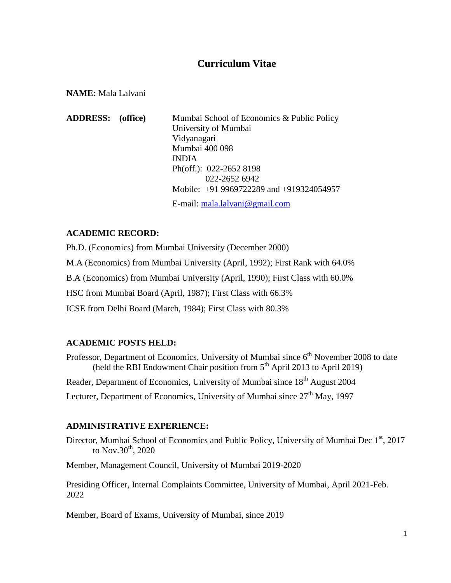# **Curriculum Vitae**

**NAME:** Mala Lalvani

**ADDRESS: (office)** Mumbai School of Economics & Public Policy University of Mumbai Vidyanagari Mumbai 400 098 INDIA Ph(off.): 022-2652 8198 022-2652 6942 Mobile: +91 9969722289 and +919324054957 E-mail: [mala.lalvani@gmail.com](mailto:mala.lalvani@gmail.com)

# **ACADEMIC RECORD:**

Ph.D. (Economics) from Mumbai University (December 2000) M.A (Economics) from Mumbai University (April, 1992); First Rank with 64.0% B.A (Economics) from Mumbai University (April, 1990); First Class with 60.0% HSC from Mumbai Board (April, 1987); First Class with 66.3% ICSE from Delhi Board (March, 1984); First Class with 80.3%

# **ACADEMIC POSTS HELD:**

Professor, Department of Economics, University of Mumbai since 6<sup>th</sup> November 2008 to date (held the RBI Endowment Chair position from 5<sup>th</sup> April 2013 to April 2019) Reader, Department of Economics, University of Mumbai since 18<sup>th</sup> August 2004 Lecturer, Department of Economics, University of Mumbai since  $27<sup>th</sup>$  May, 1997

# **ADMINISTRATIVE EXPERIENCE:**

Director, Mumbai School of Economics and Public Policy, University of Mumbai Dec 1st, 2017 to Nov.30<sup>th</sup>, 2020

Member, Management Council, University of Mumbai 2019-2020

Presiding Officer, Internal Complaints Committee, University of Mumbai, April 2021-Feb. 2022

Member, Board of Exams, University of Mumbai, since 2019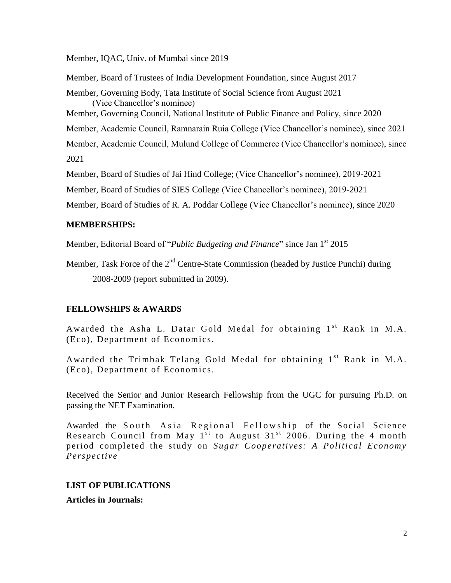Member, IQAC, Univ. of Mumbai since 2019

Member, Board of Trustees of India Development Foundation, since August 2017 Member, Governing Body, Tata Institute of Social Science from August 2021 (Vice Chancellor"s nominee) Member, Governing Council, National Institute of Public Finance and Policy, since 2020 Member, Academic Council, Ramnarain Ruia College (Vice Chancellor's nominee), since 2021 Member, Academic Council, Mulund College of Commerce (Vice Chancellor"s nominee), since 2021 Member, Board of Studies of Jai Hind College; (Vice Chancellor"s nominee), 2019-2021 Member, Board of Studies of SIES College (Vice Chancellor"s nominee), 2019-2021

Member, Board of Studies of R. A. Poddar College (Vice Chancellor's nominee), since 2020

# **MEMBERSHIPS:**

Member, Editorial Board of "*Public Budgeting and Finance*" since Jan 1st 2015

Member, Task Force of the  $2<sup>nd</sup>$  Centre-State Commission (headed by Justice Punchi) during 2008-2009 (report submitted in 2009).

# **FELLOWSHIPS & AWARDS**

Awarded the Asha L. Datar Gold Medal for obtaining  $1<sup>st</sup>$  Rank in M.A. (Eco), Department of Economics.

Awarded the Trimbak Telang Gold Medal for obtaining  $1<sup>st</sup>$  Rank in M.A. (Eco), Department of Economics.

Received the Senior and Junior Research Fellowship from the UGC for pursuing Ph.D. on passing the NET Examination.

Awarded the South Asia Regional Fellowship of the Social Science Research Council from May  $1^{st}$  to August 31<sup>st</sup> 2006. During the 4 month period completed the study on *Sugar Cooperatives: A Political Economy Perspective*

# **LIST OF PUBLICATIONS**

**Articles in Journals:**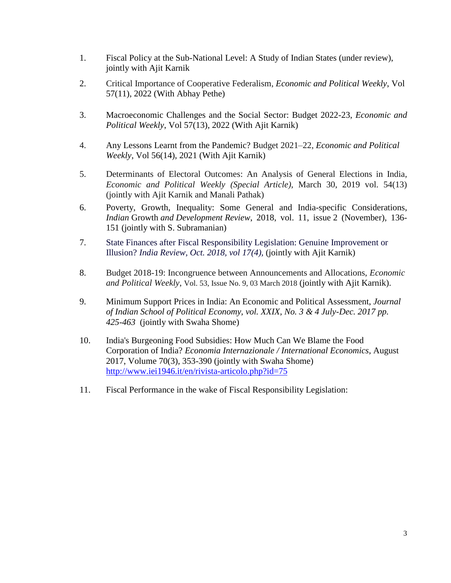- 1. Fiscal Policy at the Sub-National Level: A Study of Indian States (under review), jointly with Ajit Karnik
- 2. [Critical Importance of Cooperative Federalism,](https://www.epw.in/journal/2022/11/perspectives/critical-importance-cooperative-federalism.html) *Economic and Political Weekly*, Vol 57(11), 2022 (With Abhay Pethe)
- 3. Macroeconomic Challenges and the Social Sector: Budget 2022-23, *Economic and Political Weekly*, Vol 57(13), 2022 (With Ajit Karnik)
- 4. Any Lessons Learnt from the Pandemic? [Budget 2021–22,](https://www.epw.in/journal/2021/14/commentary/budget-2021%E2%80%9322.html) *Economic and Political Weekly*, Vol 56(14), 2021 (With Ajit Karnik)
- 5. Determinants of Electoral Outcomes: An Analysis of General Elections in India, *Economic and Political Weekly (Special Article)*, March 30, 2019 vol. 54(13) (jointly with Ajit Karnik and Manali Pathak)
- 6. Poverty, Growth, Inequality: Some General and India-specific Considerations, *Indian* Growth *and Development Review*, 2018, vol. 11, issue 2 (November), 136- 151 (jointly with S. Subramanian)
- 7. State Finances after Fiscal Responsibility Legislation: Genuine Improvement or Illusion? *India Review, Oct. 2018, vol 17(4),* (jointly with Ajit Karnik)
- 8. Budget 2018-19: Incongruence between Announcements and Allocations, *Economic and Political Weekly*, [Vol. 53, Issue No. 9, 03 March](http://www.epw.in/journal/2018/9) 2018 (jointly with Ajit Karnik).
- 9. Minimum Support Prices in India: An Economic and Political Assessment, *Journal of Indian School of Political Economy, vol. XXIX, No. 3 & 4 July-Dec. 2017 pp. 425-463* (jointly with Swaha Shome)
- 10. India's Burgeoning Food Subsidies: How Much Can We Blame the Food Corporation of India? *Economia Internazionale / International Economics*, August 2017, Volume 70(3), 353-390 (jointly with Swaha Shome) <http://www.iei1946.it/en/rivista-articolo.php?id=75>
- 11. Fiscal Performance in the wake of Fiscal Responsibility Legislation: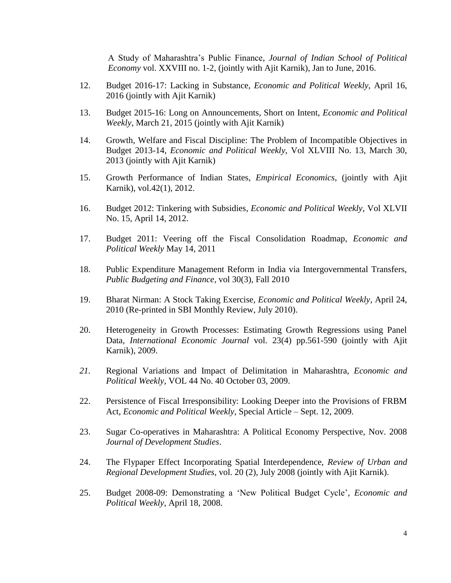A Study of Maharashtra"s Public Finance, *Journal of Indian School of Political Economy* vol. XXVIII no. 1-2, (jointly with Ajit Karnik), Jan to June, 2016.

- 12. Budget 2016-17: Lacking in Substance, *Economic and Political Weekly*, April 16, 2016 (jointly with Ajit Karnik)
- 13. Budget 2015-16: Long on Announcements, Short on Intent, *Economic and Political Weekly*, March 21, 2015 (jointly with Ajit Karnik)
- 14. Growth, Welfare and Fiscal Discipline: The Problem of Incompatible Objectives in Budget 2013-14, *Economic and Political Weekly*, Vol XLVIII No. 13, March 30, 2013 (jointly with Ajit Karnik)
- 15. Growth Performance of Indian States, *Empirical Economics*, (jointly with Ajit Karnik), vol.42(1), 2012.
- 16. [Budget 2012: Tinkering with Subsidies,](http://www.epw.in/commentary/budget-2012-tinkering-subsidies.html) *Economic and Political Weekly*, Vol XLVII No. 15, April 14, 2012.
- 17. Budget 2011: Veering off the Fiscal Consolidation Roadmap, *Economic and Political Weekly* May 14, 2011
- 18. Public Expenditure Management Reform in India via Intergovernmental Transfers, *Public Budgeting and Finance,* vol 30(3), Fall 2010
- 19. Bharat Nirman: A Stock Taking Exercise*, Economic and Political Weekly*, April 24, 2010 (Re-printed in SBI Monthly Review, July 2010).
- 20. Heterogeneity in Growth Processes: Estimating Growth Regressions using Panel Data, *International Economic Journal* vol. 23(4) pp.561-590 (jointly with Ajit Karnik), 2009.
- *21.* Regional Variations and Impact of Delimitation in Maharashtra, *Economic and Political Weekly,* VOL 44 No. 40 October 03, 2009.
- 22. Persistence of Fiscal Irresponsibility: Looking Deeper into the Provisions of FRBM Act, *Economic and Political Weekly*, Special Article – Sept. 12, 2009.
- 23. Sugar Co-operatives in Maharashtra: A Political Economy Perspective, Nov. 2008 *Journal of Development Studies*.
- 24. The Flypaper Effect Incorporating Spatial Interdependence, *Review of Urban and Regional Development Studies*, vol. 20 (2), July 2008 (jointly with Ajit Karnik).
- 25. Budget 2008-09: [Demonstrating a "New Political Budget Cycle",](http://www.epw.org.in/epw/user/curResult.jsp##) *Economic and Political Weekly*, April 18, 2008.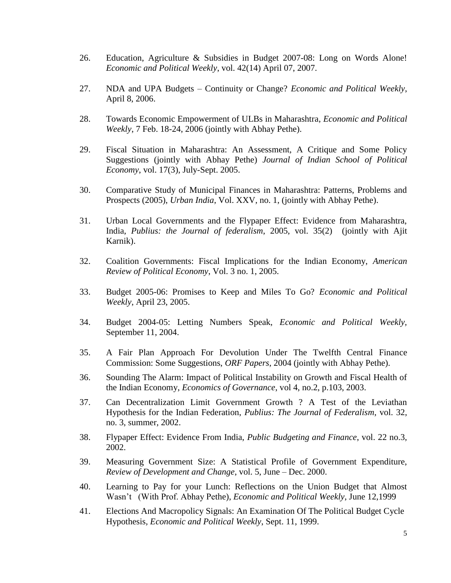- 26. Education, Agriculture & Subsidies in Budget 2007-08: Long on Words Alone! *Economic and Political Weekly*, vol. 42(14) April 07, 2007.
- 27. NDA and UPA Budgets Continuity or Change? *Economic and Political Weekly*, April 8, 2006.
- 28. Towards Economic Empowerment of ULBs in Maharashtra, *Economic and Political Weekly*, 7 Feb. 18-24, 2006 (jointly with Abhay Pethe).
- 29. Fiscal Situation in Maharashtra: An Assessment, A Critique and Some Policy Suggestions (jointly with Abhay Pethe) *Journal of Indian School of Political Economy*, vol. 17(3), July-Sept. 2005.
- 30. Comparative Study of Municipal Finances in Maharashtra: Patterns, Problems and Prospects (2005), *Urban India*, Vol. XXV, no. 1, (jointly with Abhay Pethe).
- 31. Urban Local Governments and the Flypaper Effect: Evidence from Maharashtra, India, *Publius: the Journal of federalism*, 2005, vol. 35(2) (jointly with Ajit Karnik).
- 32. Coalition Governments: Fiscal Implications for the Indian Economy, *American Review of Political Economy*, Vol. 3 no. 1, 2005.
- 33. Budget 2005-06: Promises to Keep and Miles To Go? *Economic and Political Weekly*, April 23, 2005.
- 34. Budget 2004-05: Letting Numbers Speak, *Economic and Political Weekly,*  September 11, 2004.
- 35. A Fair Plan Approach For Devolution Under The Twelfth Central Finance Commission: Some Suggestions, *ORF Papers*, 2004 (jointly with Abhay Pethe).
- 36. Sounding The Alarm: Impact of Political Instability on Growth and Fiscal Health of the Indian Economy, *Economics of Governance*, vol 4, no.2, p.103, 2003.
- 37. Can Decentralization Limit Government Growth ? A Test of the Leviathan Hypothesis for the Indian Federation, *Publius: The Journal of Federalism*, vol. 32, no. 3, summer, 2002.
- 38. Flypaper Effect: Evidence From India, *Public Budgeting and Finance*, vol. 22 no.3, 2002.
- 39. Measuring Government Size: A Statistical Profile of Government Expenditure, *Review of Development and Change*, vol. 5, June – Dec. 2000.
- 40. Learning to Pay for your Lunch: Reflections on the Union Budget that Almost Wasn"t (With Prof. Abhay Pethe), *Economic and Political Weekly*, June 12,1999
- 41. Elections And Macropolicy Signals: An Examination Of The Political Budget Cycle Hypothesis*, Economic and Political Weekly*, Sept. 11, 1999.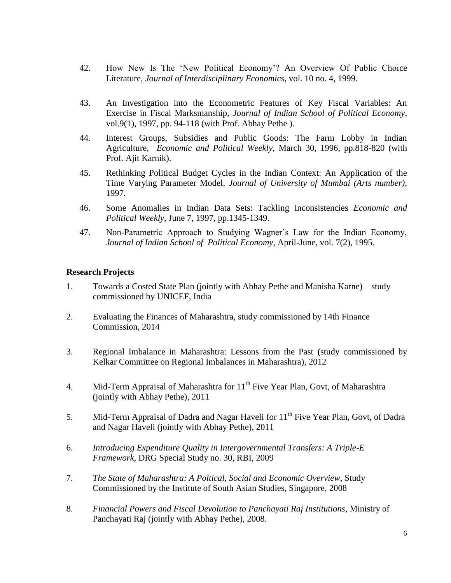- 42. How New Is The "New Political Economy"? An Overview Of Public Choice Literature*, Journal of Interdisciplinary Economics*, vol. 10 no. 4, 1999.
- 43. An Investigation into the Econometric Features of Key Fiscal Variables: An Exercise in Fiscal Marksmanship, *Journal of Indian School of Political Economy*, vol.9(1), 1997, pp. 94-118 (with Prof. Abhay Pethe ).
- 44. Interest Groups, Subsidies and Public Goods: The Farm Lobby in Indian Agriculture, *Economic and Political Weekly*, March 30, 1996, pp.818-820 (with Prof. Ajit Karnik).
- 45. Rethinking Political Budget Cycles in the Indian Context: An Application of the Time Varying Parameter Model, *Journal of University of Mumbai (Arts number),* 1997.
- 46. Some Anomalies in Indian Data Sets: Tackling Inconsistencies *Economic and Political Weekly*, June 7, 1997, pp.1345-1349.
- 47. Non-Parametric Approach to Studying Wagner"s Law for the Indian Economy, *Journal of Indian School of Political Economy*, April-June, vol. 7(2), 1995.

#### **Research Projects**

- 1. Towards a Costed State Plan (jointly with Abhay Pethe and Manisha Karne) study commissioned by UNICEF, India
- 2. Evaluating the Finances of Maharashtra, study commissioned by 14th Finance Commission, 2014
- 3. Regional Imbalance in Maharashtra: Lessons from the Past **(**study commissioned by Kelkar Committee on Regional Imbalances in Maharashtra), 2012
- 4. Mid-Term Appraisal of Maharashtra for  $11<sup>th</sup>$  Five Year Plan, Govt, of Maharashtra (jointly with Abhay Pethe), 2011
- 5. Mid-Term Appraisal of Dadra and Nagar Haveli for  $11<sup>th</sup>$  Five Year Plan, Govt, of Dadra and Nagar Haveli (jointly with Abhay Pethe), 2011
- 6. *Introducing Expenditure Quality in Intergovernmental Transfers: A Triple-E Framework*, DRG Special Study no. 30, RBI, 2009
- 7. *The State of Maharashtra: A Poltical, Social and Economic Overview*, Study Commissioned by the Institute of South Asian Studies, Singapore, 2008
- 8. *Financial Powers and Fiscal Devolution to Panchayati Raj Institutions*, Ministry of Panchayati Raj (jointly with Abhay Pethe), 2008.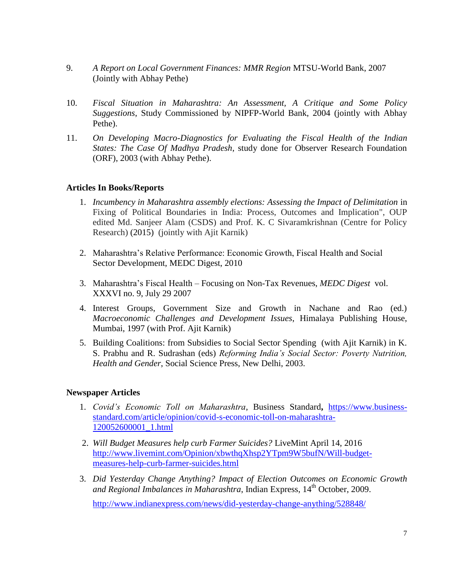- 9. *A Report on Local Government Finances: MMR Region* MTSU-World Bank, 2007 (Jointly with Abhay Pethe)
- 10. *Fiscal Situation in Maharashtra: An Assessment, A Critique and Some Policy Suggestions*, Study Commissioned by NIPFP-World Bank, 2004 (jointly with Abhay Pethe).
- 11. *On Developing Macro-Diagnostics for Evaluating the Fiscal Health of the Indian States: The Case Of Madhya Pradesh*, study done for Observer Research Foundation (ORF), 2003 (with Abhay Pethe).

# **Articles In Books/Reports**

- 1. *Incumbency in Maharashtra assembly elections: Assessing the Impact of Delimitation* in Fixing of Political Boundaries in India: Process, Outcomes and Implication", OUP edited Md. Sanjeer Alam (CSDS) and Prof. K. C Sivaramkrishnan (Centre for Policy Research) (2015) (jointly with Ajit Karnik)
- 2. Maharashtra"s Relative Performance: Economic Growth, Fiscal Health and Social Sector Development, MEDC Digest, 2010
- 3. Maharashtra"s Fiscal Health Focusing on Non-Tax Revenues, *MEDC Digest* vol. XXXVI no. 9, July 29 2007
- 4. Interest Groups, Government Size and Growth in Nachane and Rao (ed.) *Macroeconomic Challenges and Development Issues*, Himalaya Publishing House, Mumbai, 1997 (with Prof. Ajit Karnik)
- 5. Building Coalitions: from Subsidies to Social Sector Spending (with Ajit Karnik) in K. S. Prabhu and R. Sudrashan (eds) *Reforming India's Social Sector: Poverty Nutrition, Health and Gender*, Social Science Press, New Delhi, 2003.

#### **Newspaper Articles**

- 1. *Covid's Economic Toll on Maharashtra*, Business Standard**,** [https://www.business](https://www.business-standard.com/article/opinion/covid-s-economic-toll-on-maharashtra-120052600001_1.html)[standard.com/article/opinion/covid-s-economic-toll-on-maharashtra-](https://www.business-standard.com/article/opinion/covid-s-economic-toll-on-maharashtra-120052600001_1.html)[120052600001\\_1.html](https://www.business-standard.com/article/opinion/covid-s-economic-toll-on-maharashtra-120052600001_1.html)
- 2. *Will Budget Measures help curb Farmer Suicides?* LiveMint April 14, 2016 [http://www.livemint.com/Opinion/xbwthqXhsp2YTpm9W5bufN/Will-budget](http://www.livemint.com/Opinion/xbwthqXhsp2YTpm9W5bufN/Will-budget-measures-help-curb-farmer-suicides.html)[measures-help-curb-farmer-suicides.html](http://www.livemint.com/Opinion/xbwthqXhsp2YTpm9W5bufN/Will-budget-measures-help-curb-farmer-suicides.html)
- 3. *Did Yesterday Change Anything? Impact of Election Outcomes on Economic Growth and Regional Imbalances in Maharashtra*, Indian Express, 14<sup>th</sup> October, 2009.

<http://www.indianexpress.com/news/did-yesterday-change-anything/528848/>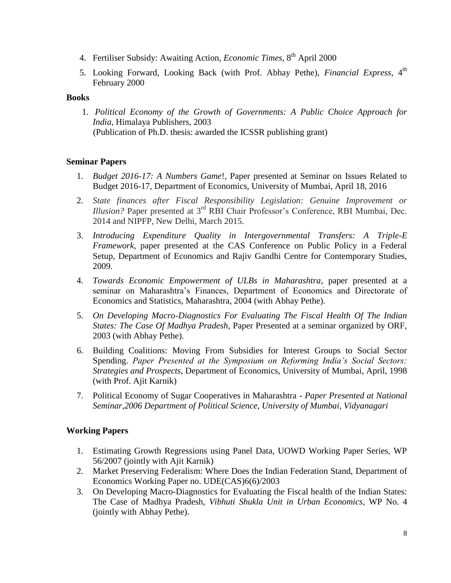- 4. Fertiliser Subsidy: Awaiting Action, *Economic Times*, 8<sup>th</sup> April 2000
- 5. Looking Forward, Looking Back (with Prof. Abhay Pethe), *Financial Express*, 4<sup>th</sup> February 2000

# **Books**

1. *Political Economy of the Growth of Governments: A Public Choice Approach for India*, Himalaya Publishers, 2003 (Publication of Ph.D. thesis: awarded the ICSSR publishing grant)

# **Seminar Papers**

- 1. *Budget 2016-17: A Numbers Game*!, Paper presented at Seminar on Issues Related to Budget 2016-17, Department of Economics, University of Mumbai, April 18, 2016
- 2. *State finances after Fiscal Responsibility Legislation: Genuine Improvement or Illusion?* Paper presented at 3<sup>rd</sup> RBI Chair Professor's Conference, RBI Mumbai, Dec. 2014 and NIPFP, New Delhi, March 2015.
- 3. *Introducing Expenditure Quality in Intergovernmental Transfers: A Triple-E Framework*, paper presented at the CAS Conference on Public Policy in a Federal Setup, Department of Economics and Rajiv Gandhi Centre for Contemporary Studies, 2009.
- 4. *Towards Economic Empowerment of ULBs in Maharashtra*, paper presented at a seminar on Maharashtra"s Finances, Department of Economics and Directorate of Economics and Statistics, Maharashtra, 2004 (with Abhay Pethe).
- 5. *On Developing Macro-Diagnostics For Evaluating The Fiscal Health Of The Indian States: The Case Of Madhya Pradesh*, Paper Presented at a seminar organized by ORF, 2003 (with Abhay Pethe).
- 6. Building Coalitions: Moving From Subsidies for Interest Groups to Social Sector Spending. *Paper Presented at the Symposium on Reforming India's Social Sectors: Strategies and Prospects*, Department of Economics, University of Mumbai, April, 1998 (with Prof. Ajit Karnik)
- 7. Political Economy of Sugar Cooperatives in Maharashtra *Paper Presented at National Seminar,2006 Department of Political Science, University of Mumbai, Vidyanagari*

# **Working Papers**

- 1. Estimating Growth Regressions using Panel Data, UOWD Working Paper Series, WP 56/2007 (jointly with Ajit Karnik)
- 2. Market Preserving Federalism: Where Does the Indian Federation Stand, Department of Economics Working Paper no. UDE(CAS)6(6)/2003
- 3. On Developing Macro-Diagnostics for Evaluating the Fiscal health of the Indian States: The Case of Madhya Pradesh, *Vibhuti Shukla Unit in Urban Economics*, WP No. 4 (jointly with Abhay Pethe).